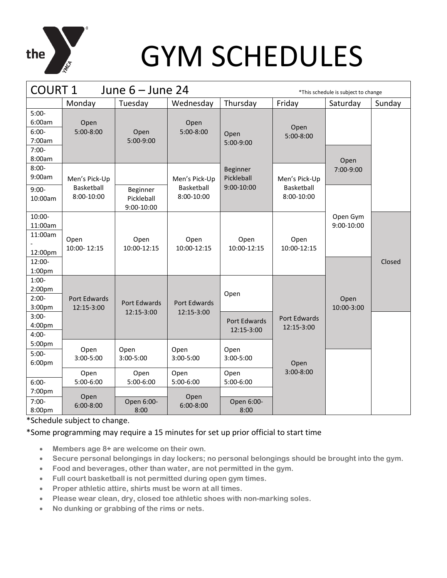

### GYM SCHEDULES

| <b>COURT 1</b><br>June $6 -$ June 24<br>*This schedule is subject to change |                             |                                      |                             |                                             |                             |                        |        |
|-----------------------------------------------------------------------------|-----------------------------|--------------------------------------|-----------------------------|---------------------------------------------|-----------------------------|------------------------|--------|
|                                                                             | Monday                      | Tuesday                              | Wednesday                   | Thursday                                    | Friday                      | Saturday               | Sunday |
| $5:00-$<br>6:00am<br>$6:00-$<br>7:00am<br>$7:00-$<br>8:00am                 | Open<br>5:00-8:00           | Open<br>5:00-9:00                    | Open<br>5:00-8:00           | Open<br>5:00-9:00                           | Open<br>5:00-8:00           | Open                   |        |
| $8:00-$<br>9:00am                                                           | Men's Pick-Up<br>Basketball |                                      | Men's Pick-Up<br>Basketball | <b>Beginner</b><br>Pickleball<br>9:00-10:00 | Men's Pick-Up<br>Basketball | 7:00-9:00              |        |
| $9:00-$<br>10:00am                                                          | 8:00-10:00                  | Beginner<br>Pickleball<br>9:00-10:00 | 8:00-10:00                  |                                             | 8:00-10:00                  |                        |        |
| 10:00-<br>11:00am<br>11:00am<br>12:00pm<br>12:00-<br>1:00pm                 | Open<br>10:00-12:15         | Open<br>10:00-12:15                  | Open<br>10:00-12:15         | Open<br>10:00-12:15                         | Open<br>10:00-12:15         | Open Gym<br>9:00-10:00 | Closed |
| $1:00-$<br>2:00 <sub>pm</sub><br>$2:00-$<br>3:00pm                          | Port Edwards<br>12:15-3:00  | Port Edwards<br>12:15-3:00           | Port Edwards<br>12:15-3:00  | Open                                        |                             | Open<br>10:00-3:00     |        |
| $3:00-$<br>4:00pm<br>$4:00-$                                                |                             |                                      |                             | Port Edwards<br>12:15-3:00                  | Port Edwards<br>12:15-3:00  |                        |        |
| 5:00pm<br>$5:00-$<br>6:00pm                                                 | Open<br>3:00-5:00           | Open<br>3:00-5:00                    | Open<br>3:00-5:00           | Open<br>3:00-5:00                           | Open                        |                        |        |
| $6:00-$<br>7:00pm                                                           | Open<br>5:00-6:00           | Open<br>5:00-6:00                    | Open<br>5:00-6:00           | Open<br>5:00-6:00                           | $3:00 - 8:00$               |                        |        |
| $7:00-$<br>8:00pm                                                           | Open<br>$6:00 - 8:00$       | Open 6:00-<br>8:00                   | Open<br>$6:00 - 8:00$       | Open 6:00-<br>8:00                          |                             |                        |        |

\*Schedule subject to change.

### \*Some programming may require a 15 minutes for set up prior official to start time

- **Members age 8+ are welcome on their own.**
- **Secure personal belongings in day lockers; no personal belongings should be brought into the gym.**
- **Food and beverages, other than water, are not permitted in the gym.**
- **Full court basketball is not permitted during open gym times.**
- **Proper athletic attire, shirts must be worn at all times.**
- **Please wear clean, dry, closed toe athletic shoes with non-marking soles.**
- **No dunking or grabbing of the rims or nets.**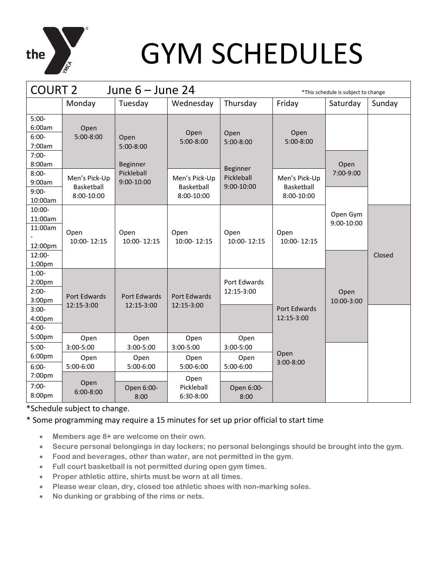

# GYM SCHEDULES

| <b>COURT 2</b><br>June $6 -$ June 24<br>*This schedule is subject to change |                                           |                                        |                                           |                                      |                                           |                        |        |
|-----------------------------------------------------------------------------|-------------------------------------------|----------------------------------------|-------------------------------------------|--------------------------------------|-------------------------------------------|------------------------|--------|
|                                                                             | Monday                                    | Tuesday                                | Wednesday                                 | Thursday                             | Friday                                    | Saturday               | Sunday |
| $5:00-$<br>6:00am<br>$6:00-$<br>7:00am<br>$7:00-$<br>8:00am                 | Open<br>5:00-8:00                         | Open<br>$5:00-8:00$<br><b>Beginner</b> | Open<br>5:00-8:00                         | Open<br>5:00-8:00<br><b>Beginner</b> | Open<br>5:00-8:00                         | Open                   |        |
| $8:00 -$<br>9:00am<br>$9:00-$<br>10:00am                                    | Men's Pick-Up<br>Basketball<br>8:00-10:00 | Pickleball<br>$9:00 - 10:00$           | Men's Pick-Up<br>Basketball<br>8:00-10:00 | Pickleball<br>9:00-10:00             | Men's Pick-Up<br>Basketball<br>8:00-10:00 | 7:00-9:00              |        |
| 10:00-<br>11:00am<br>11:00am<br>12:00pm<br>12:00-                           | Open<br>10:00-12:15                       | Open<br>10:00-12:15                    | Open<br>10:00-12:15                       | Open<br>10:00-12:15                  | Open<br>10:00-12:15                       | Open Gym<br>9:00-10:00 | Closed |
| 1:00 <sub>pm</sub><br>$1:00-$<br>2:00 <sub>pm</sub><br>$2:00-$<br>3:00pm    | Port Edwards                              | Port Edwards                           | Port Edwards                              | Port Edwards<br>12:15-3:00           |                                           | Open<br>10:00-3:00     |        |
| $3:00-$<br>4:00pm<br>$4:00-$<br>5:00pm                                      | 12:15-3:00<br>Open                        | 12:15-3:00<br>Open                     | 12:15-3:00<br>Open                        | Open                                 | Port Edwards<br>12:15-3:00                |                        |        |
| $5:00-$<br>6:00 <sub>pm</sub><br>$6:00-$                                    | 3:00-5:00<br>Open<br>5:00-6:00            | $3:00 - 5:00$<br>Open<br>5:00-6:00     | 3:00-5:00<br>Open<br>5:00-6:00            | 3:00-5:00<br>Open<br>5:00-6:00       | Open<br>$3:00 - 8:00$                     |                        |        |
| 7:00pm<br>$7:00-$<br>8:00pm                                                 | Open<br>$6:00 - 8:00$                     | Open 6:00-<br>8:00                     | Open<br>Pickleball<br>6:30-8:00           | Open 6:00-<br>8:00                   |                                           |                        |        |

\*Schedule subject to change.

### \* Some programming may require a 15 minutes for set up prior official to start time

- **Members age 8+ are welcome on their own.**
- **Secure personal belongings in day lockers; no personal belongings should be brought into the gym.**
- **Food and beverages, other than water, are not permitted in the gym.**
- **Full court basketball is not permitted during open gym times.**
- **Proper athletic attire, shirts must be worn at all times.**
- **Please wear clean, dry, closed toe athletic shoes with non-marking soles.**
- **No dunking or grabbing of the rims or nets.**